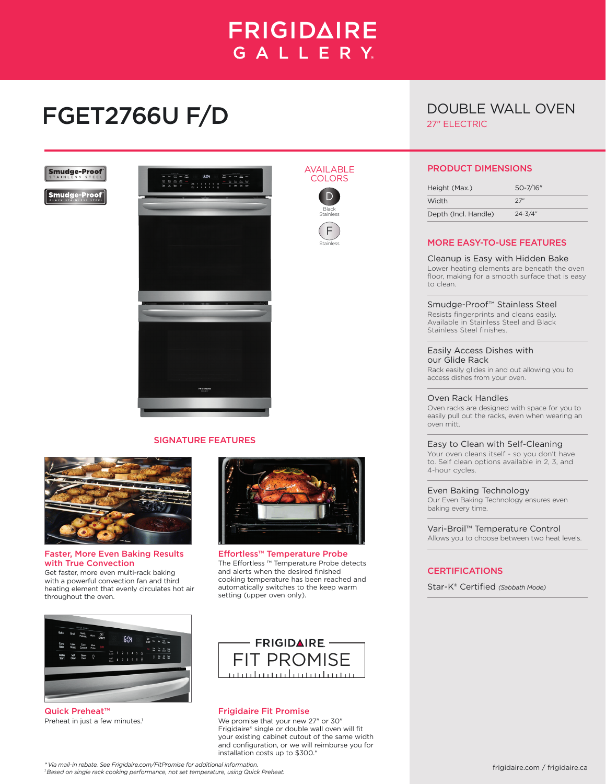# **FRIGIDAIRE** GALLERY.

AVAILABLE **COLORS** D Black Stainless F Stainless

# FGET2766U F/D

# DOUBLE WALL OVEN 27" ELECTRIC

**Smudge-Proof** 

**Smudge-Proof** 



## SIGNATURE FEATURES



#### Faster, More Even Baking Results with True Convection

Get faster, more even multi-rack baking with a powerful convection fan and third heating element that evenly circulates hot air throughout the oven.



Effortless™ Temperature Probe The Effortless ™ Temperature Probe detects and alerts when the desired finished cooking temperature has been reached and automatically switches to the keep warm setting (upper oven only).



Quick Preheat™ Preheat in just a few minutes.<sup>1</sup>



### Frigidaire Fit Promise

We promise that your new 27" or 30" Frigidaire® single or double wall oven will fit your existing cabinet cutout of the same width and configuration, or we will reimburse you for installation costs up to \$300.\*

# PRODUCT DIMENSIONS

| Height (Max.)        | $50 - 7/16"$ |
|----------------------|--------------|
| Width                | 27"          |
| Depth (Incl. Handle) | $24 - 3/4"$  |

# MORE EASY-TO-USE FEATURES

Cleanup is Easy with Hidden Bake Lower heating elements are beneath the oven floor, making for a smooth surface that is easy to clean.

Smudge-Proof™ Stainless Steel

Resists fingerprints and cleans easily. Available in Stainless Steel and Black Stainless Steel finishes.

#### Easily Access Dishes with our Glide Rack

Rack easily glides in and out allowing you to access dishes from your oven.

### Oven Rack Handles

Oven racks are designed with space for you to easily pull out the racks, even when wearing an oven mitt.

# Easy to Clean with Self-Cleaning

Your oven cleans itself - so you don't have to. Self clean options available in 2, 3, and 4-hour cycles.

Even Baking Technology

Our Even Baking Technology ensures even baking every time.

Vari-Broil™ Temperature Control Allows you to choose between two heat levels.

## **CERTIFICATIONS**

Star-K® Certified *(Sabbath Mode)*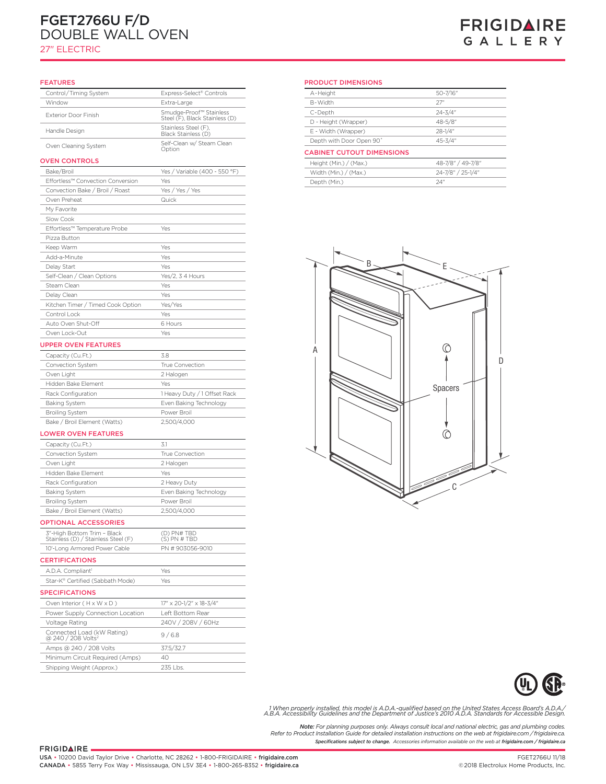# double Electric Wall Overseas (2002)<br>Double Electric Wall Overseas (2002)<br>Double Electric Wall Overseas (2002) FGET2766U F/D DOUBLE WALL OVEN

# 27" ELECTRIC

# **FRIGIDAIRE** GALLERY

#### FEATURES

| <b>FEATURES</b>                                                    |                                                           | <b>PRODUCT DI</b>                   |
|--------------------------------------------------------------------|-----------------------------------------------------------|-------------------------------------|
| Control/Timing System                                              | Express-Select® Controls                                  | A-Height                            |
| Window                                                             | Extra-Large                                               | B-Width                             |
| Exterior Door Finish                                               | Smudge-Proof™ Stainless<br>Steel (F), Black Stainless (D) | C-Depth                             |
|                                                                    | Stainless Steel (F),                                      | D - Height (W                       |
| Handle Design                                                      | Black Stainless (D)                                       | E - Width (Wr                       |
| Oven Cleaning System                                               | Self-Clean w/ Steam Clean<br>Option                       | Depth with Do<br><b>CABINET CUT</b> |
| <b>OVEN CONTROLS</b>                                               |                                                           | Height (Min.),                      |
| Bake/Broil                                                         | Yes / Variable (400 - 550 °F)                             | Width (Min.) /                      |
| Effortless™ Convection Conversion                                  | Yes                                                       | Depth (Min.)                        |
| Convection Bake / Broil / Roast                                    | Yes / Yes / Yes                                           |                                     |
| Oven Preheat                                                       | Quick                                                     |                                     |
| My Favorite                                                        |                                                           |                                     |
| Slow Cook                                                          |                                                           |                                     |
| Effortless™ Temperature Probe                                      | Yes                                                       |                                     |
| Pizza Button                                                       |                                                           |                                     |
| Keep Warm                                                          | Yes                                                       |                                     |
| Add-a-Minute                                                       | Yes                                                       |                                     |
| Delay Start                                                        | Yes                                                       |                                     |
| Self-Clean / Clean Options                                         | Yes/2, 3 4 Hours                                          |                                     |
| Steam Clean                                                        | Yes                                                       |                                     |
| Delay Clean                                                        | Yes                                                       |                                     |
| Kitchen Timer / Timed Cook Option                                  | Yes/Yes                                                   |                                     |
| Control Lock                                                       | Yes                                                       |                                     |
| Auto Oven Shut-Off                                                 | 6 Hours                                                   |                                     |
| Oven Lock-Out                                                      | Yes                                                       |                                     |
| <b>UPPER OVEN FEATURES</b>                                         |                                                           |                                     |
| Capacity (Cu.Ft.)                                                  | 3.8                                                       | А                                   |
| Convection System                                                  | True Convection                                           |                                     |
| Oven Light                                                         | 2 Halogen                                                 |                                     |
| Hidden Bake Element                                                | Yes                                                       |                                     |
| Rack Configuration                                                 | 1 Heavy Duty / 1 Offset Rack                              |                                     |
| <b>Baking System</b>                                               | Even Baking Technology                                    |                                     |
| <b>Broiling System</b>                                             | Power Broil                                               |                                     |
| Bake / Broil Element (Watts)                                       | 2,500/4,000                                               |                                     |
| <b>LOWER OVEN FEATURES</b>                                         |                                                           |                                     |
|                                                                    | 3.1                                                       |                                     |
| Capacity (Cu.Ft.)<br>Convection System                             | True Convection                                           |                                     |
| Oven Light                                                         | 2 Halogen                                                 |                                     |
| Hidden Bake Element                                                | Yes                                                       |                                     |
| Rack Configuration                                                 |                                                           |                                     |
| <b>Baking System</b>                                               | 2 Heavy Duty<br>Even Baking Technology                    |                                     |
| <b>Broiling System</b>                                             | Power Broil                                               |                                     |
|                                                                    | 2,500/4,000                                               |                                     |
| Bake / Broil Element (Watts)                                       |                                                           |                                     |
| <b>OPTIONAL ACCESSORIES</b>                                        |                                                           |                                     |
| 3"-High Bottom Trim - Black<br>Stainless (D) / Stainless Steel (F) | (D) PN# TBD<br>(S) PN # TBD                               |                                     |
| 10'-Long Armored Power Cable                                       | PN #903056-9010                                           |                                     |
| <b>CERTIFICATIONS</b>                                              |                                                           |                                     |
|                                                                    |                                                           |                                     |
| A.D.A. Compliant <sup>1</sup>                                      | Yes                                                       |                                     |
| Star-K® Certified (Sabbath Mode)<br><b>SPECIFICATIONS</b>          | Yes                                                       |                                     |
| Oven Interior (H x W x D)                                          | $17'' \times 20 - 1/2'' \times 18 - 3/4''$                |                                     |
| Power Supply Connection Location                                   | Left Bottom Rear                                          |                                     |
| Voltage Rating                                                     | 240V / 208V / 60Hz                                        |                                     |
| Connected Load (kW Rating)                                         | 9/6.8                                                     |                                     |
|                                                                    |                                                           |                                     |
| @ 240 / 208 Volts <sup>2</sup>                                     |                                                           |                                     |
| Amps @ 240 / 208 Volts<br>Minimum Circuit Required (Amps)          | 37.5/32.7<br>40                                           |                                     |

#### PRODUCT DIMENSIONS

| A-Height                         | 50-7/16"          |  |  |
|----------------------------------|-------------------|--|--|
| <b>B</b> -Width                  | 27"               |  |  |
| C-Depth                          | $24 - 3/4"$       |  |  |
| D - Height (Wrapper)             | 48-5/8"           |  |  |
| E - Width (Wrapper)              | $28 - 1/4"$       |  |  |
| Depth with Door Open 90°         | $45 - 3/4"$       |  |  |
| <b>CABINET CUTOUT DIMENSIONS</b> |                   |  |  |
| Height (Min.) / (Max.)           | 48-7/8" / 49-7/8" |  |  |
| Width (Min.) / (Max.)            | 24-7/8" / 25-1/4" |  |  |

Depth (Min.) 24"





/When properly installed, this model is A.D.A.-qualified based on the United States Access Board's A.D.A.<br>A.B.A. Accessibility Guidelines and the Department of Justice's 2010 A.D.A. Standards for Accessible Design.

*Specifications subject to change. Accessories information available on the web at frigidaire.com / frigidaire.ca Note: For planning purposes only. Always consult local and national electric, gas and plumbing codes. Refer to Product Installation Guide for detailed installation instructions on the web at frigidaire.com / frigidaire.ca.*

FRIGIDAIRE.